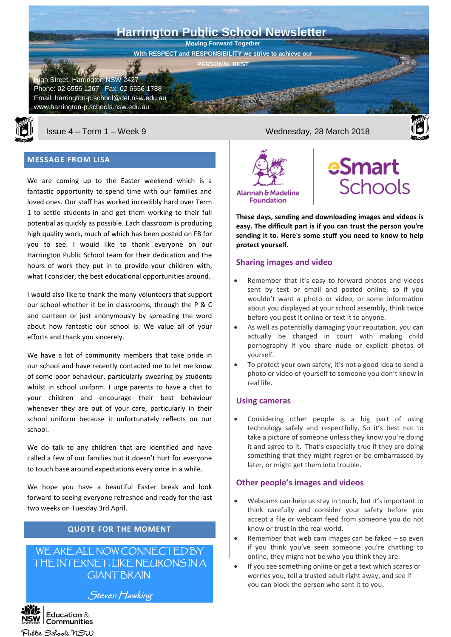



## **MESSAGE FROM LISA**

We are coming up to the Easter weekend which is a fantastic opportunity to spend time with our families and loved ones. Our staff has worked incredibly hard over Term 1 to settle students in and get them working to their full potential as quickly as possible. Each classroom is producing high quality work, much of which has been posted on FB for you to see. I would like to thank everyone on our Harrington Public School team for their dedication and the hours of work they put in to provide your children with, what I consider, the best educational opportunities around.

I would also like to thank the many volunteers that support our school whether it be in classrooms, through the P & C and canteen or just anonymously by spreading the word about how fantastic our school is. We value all of your efforts and thank you sincerely.

We have a lot of community members that take pride in our school and have recently contacted me to let me know of some poor behaviour, particularly swearing by students whilst in school uniform. I urge parents to have a chat to your children and encourage their best behaviour whenever they are out of your care, particularly in their school uniform because it unfortunately reflects on our school.

We do talk to any children that are identified and have called a few of our families but it doesn't hurt for everyone to touch base around expectations every once in a while.

We hope you have a beautiful Easter break and look forward to seeing everyone refreshed and ready for the last two weeks on Tuesday 3rd April.

# **QUOTE FOR THE MOMENT**

# WE ARE ALL NOW CONNECTED BY THE INTERNET, LIKE NEURONS IN A GIANT BRAIN.

Steven Hawking

Issue 4 – Term 1 – Week 9 Wednesday, 28 March 2018





**protect yourself.**

**These days, sending and downloading images and videos is easy. The difficult part is if you can trust the person you're sending it to. Here's some stuff you need to know to help** 

eSmart

**Schools** 

## **Sharing images and video**

- Remember that it's easy to forward photos and videos sent by text or email and posted online, so if you wouldn't want a photo or video, or some information about you displayed at your school assembly, think twice before you post it online or text it to anyone.
- As well as potentially damaging your reputation, you can actually be charged in court with making child pornography if you share nude or explicit photos of yourself.
- To protect your own safety, it's not a good idea to send a photo or video of yourself to someone you don't know in real life.

## **Using cameras**

Considering other people is a big part of using technology safely and respectfully. So it's best not to take a picture of someone unless they know you're doing it and agree to it. That's especially true if they are doing something that they might regret or be embarrassed by later, or might get them into trouble.

## **Other people's images and videos**

- Webcams can help us stay in touch, but it's important to think carefully and consider your safety before you accept a file or webcam feed from someone you do not know or trust in the real world.
- Remember that web cam images can be faked  $-$  so even if you think you've seen someone you're chatting to online, they might not be who you think they are.
- If you see something online or get a text which scares or worries you, tell a trusted adult right away, and see if you can block the person who sent it to you.

Education  $&$  $P$ <br>ERNMENT  $\overline{C}$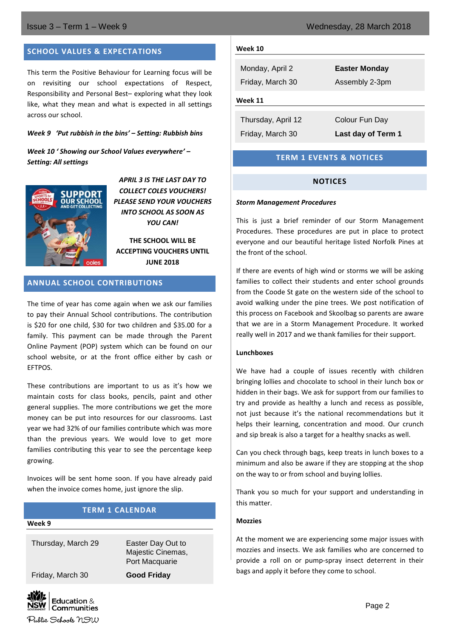## **SCHOOL VALUES & EXPECTATIONS**

This term the Positive Behaviour for Learning focus will be on revisiting our school expectations of Respect, Responsibility and Personal Best– exploring what they look like, what they mean and what is expected in all settings across our school.

#### *Week 9 'Put rubbish in the bins' – Setting: Rubbish bins*

## *Week 10 ' Showing our School Values everywhere' – Setting: All settings*



*APRIL 3 IS THE LAST DAY TO COLLECT COLES VOUCHERS! PLEASE SEND YOUR VOUCHERS INTO SCHOOL AS SOON AS YOU CAN!*

**THE SCHOOL WILL BE ACCEPTING VOUCHERS UNTIL JUNE 2018**

## **ANNUAL SCHOOL CONTRIBUTIONS**

The time of year has come again when we ask our families to pay their Annual School contributions. The contribution is \$20 for one child, \$30 for two children and \$35.00 for a family. This payment can be made through the Parent Online Payment (POP) system which can be found on our school website, or at the front office either by cash or EFTPOS.

These contributions are important to us as it's how we maintain costs for class books, pencils, paint and other general supplies. The more contributions we get the more money can be put into resources for our classrooms. Last year we had 32% of our families contribute which was more than the previous years. We would love to get more families contributing this year to see the percentage keep growing.

Invoices will be sent home soon. If you have already paid when the invoice comes home, just ignore the slip.

#### **TERM 1 CALENDAR**

#### **Week 9**

Thursday, March 29 Easter Day Out to

Majestic Cinemas, Port Macquarie

Friday, March 30 **Good Friday**



### **Week 10**

Monday, April 2 **Easter Monday** Friday, March 30 Assembly 2-3pm **Week 11**

Thursday, April 12 Colour Fun Day

Friday, March 30 **Last day of Term 1**

## **TERM 1 EVENTS & NOTICES**

## **NOTICES**

#### *Storm Management Procedures*

This is just a brief reminder of our Storm Management Procedures. These procedures are put in place to protect everyone and our beautiful heritage listed Norfolk Pines at the front of the school.

If there are events of high wind or storms we will be asking families to collect their students and enter school grounds from the Coode St gate on the western side of the school to avoid walking under the pine trees. We post notification of this process on Facebook and Skoolbag so parents are aware that we are in a Storm Management Procedure. It worked really well in 2017 and we thank families for their support.

#### **Lunchboxes**

We have had a couple of issues recently with children bringing lollies and chocolate to school in their lunch box or hidden in their bags. We ask for support from our families to try and provide as healthy a lunch and recess as possible, not just because it's the national recommendations but it helps their learning, concentration and mood. Our crunch and sip break is also a target for a healthy snacks as well.

Can you check through bags, keep treats in lunch boxes to a minimum and also be aware if they are stopping at the shop on the way to or from school and buying lollies.

Thank you so much for your support and understanding in this matter.

## **Mozzies**

At the moment we are experiencing some major issues with mozzies and insects. We ask families who are concerned to provide a roll on or pump-spray insect deterrent in their bags and apply it before they come to school.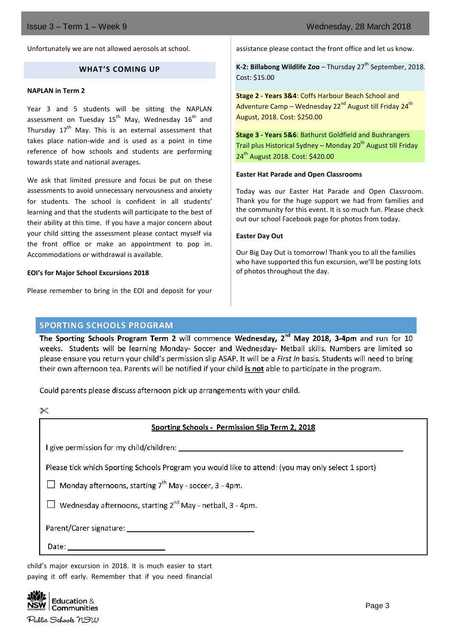Unfortunately we are not allowed aerosols at school.

## **WHAT'S COMING UP**

#### **NAPLAN in Term 2**

Year 3 and 5 students will be sitting the NAPLAN assessment on Tuesday  $15^{th}$  May, Wednesday  $16^{th}$  and Thursday  $17<sup>th</sup>$  May. This is an external assessment that takes place nation-wide and is used as a point in time reference of how schools and students are performing towards state and national averages.

We ask that limited pressure and focus be put on these assessments to avoid unnecessary nervousness and anxiety for students. The school is confident in all students' learning and that the students will participate to the best of their ability at this time. If you have a major concern about your child sitting the assessment please contact myself via the front office or make an appointment to pop in. Accommodations or withdrawal is available.

#### **EOI's for Major School Excursions 2018**

Please remember to bring in the EOI and deposit for your

assistance please contact the front office and let us know.

**K-2: Billabong Wildlife Zoo** – Thursday 27<sup>th</sup> September, 2018. Cost: \$15.00

**Stage 2 - Years 3&4**: Coffs Harbour Beach School and Adventure Camp – Wednesday 22<sup>nd</sup> August till Friday 24<sup>th</sup> August, 2018. Cost: \$250.00

**Stage 3 - Years 5&6**: Bathurst Goldfield and Bushrangers Trail plus Historical Sydney – Monday  $20<sup>th</sup>$  August till Friday 24<sup>th</sup> August 2018. Cost: \$420.00

#### **Easter Hat Parade and Open Classrooms**

Today was our Easter Hat Parade and Open Classroom. Thank you for the huge support we had from families and the community for this event. It is so much fun. Please check out our school Facebook page for photos from today.

#### **Easter Day Out**

Our Big Day Out is tomorrow! Thank you to all the families who have supported this fun excursion, we'll be posting lots of photos throughout the day.

## **SPORTING SCHOOLS PROGRAM**

The Sporting Schools Program Term 2 will commence Wednesday, 2<sup>nd</sup> May 2018, 3-4pm and run for 10 weeks. Students will be learning Monday- Soccer and Wednesday- Netball skills. Numbers are limited so please ensure you return your child's permission slip ASAP. It will be a First In basis. Students will need to bring their own afternoon tea. Parents will be notified if your child is not able to participate in the program.

Could parents please discuss afternoon pick up arrangements with your child.

## Sporting Schools - Permission Slip Term 2, 2018

I give permission for my child/children:

Please tick which Sporting Schools Program you would like to attend: (you may only select 1 sport)

 $\Box$  Mondav afternoons, starting  $7^{th}$  Mav - soccer, 3 - 4pm.

 $\Box$  Wednesday afternoons, starting 2<sup>nd</sup> May - netball, 3 - 4pm.

Date:

child's major excursion in 2018. It is much easier to start paying it off early. Remember that if you need financial

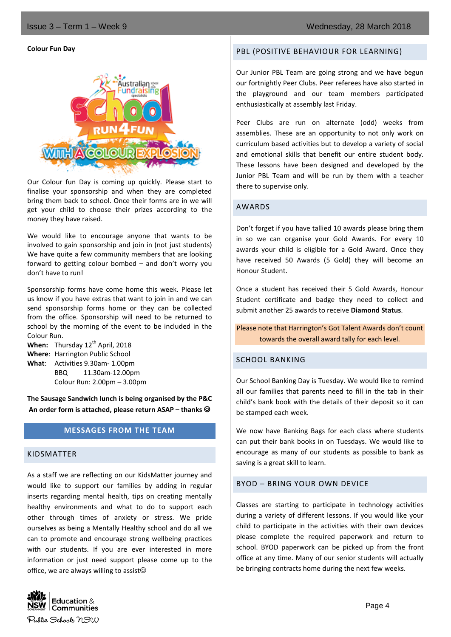#### **Colour Fun Day**



Our Colour fun Day is coming up quickly. Please start to finalise your sponsorship and when they are completed bring them back to school. Once their forms are in we will get your child to choose their prizes according to the money they have raised.

We would like to encourage anyone that wants to be involved to gain sponsorship and join in (not just students) We have quite a few community members that are looking forward to getting colour bombed – and don't worry you don't have to run!

Sponsorship forms have come home this week. Please let us know if you have extras that want to join in and we can send sponsorship forms home or they can be collected from the office. Sponsorship will need to be returned to school by the morning of the event to be included in the Colour Run.

**When:** Thursday 12<sup>th</sup> April, 2018 **Where**: Harrington Public School **What**: Activities 9.30am- 1.00pm BBQ 11.30am-12.00pm Colour Run: 2.00pm – 3.00pm

**The Sausage Sandwich lunch is being organised by the P&C An order form is attached, please return ASAP – thanks** 

## **MESSAGES FROM THE TEAM**

## KIDSMATTER

As a staff we are reflecting on our KidsMatter journey and would like to support our families by adding in regular inserts regarding mental health, tips on creating mentally healthy environments and what to do to support each other through times of anxiety or stress. We pride ourselves as being a Mentally Healthy school and do all we can to promote and encourage strong wellbeing practices with our students. If you are ever interested in more information or just need support please come up to the office, we are always willing to assist $\odot$ 



#### PBL (POSITIVE BEHAVIOUR FOR LEARNING)

Our Junior PBL Team are going strong and we have begun our fortnightly Peer Clubs. Peer referees have also started in the playground and our team members participated enthusiastically at assembly last Friday.

Peer Clubs are run on alternate (odd) weeks from assemblies. These are an opportunity to not only work on curriculum based activities but to develop a variety of social and emotional skills that benefit our entire student body. These lessons have been designed and developed by the Junior PBL Team and will be run by them with a teacher there to supervise only.

#### AWARDS

Don't forget if you have tallied 10 awards please bring them in so we can organise your Gold Awards. For every 10 awards your child is eligible for a Gold Award. Once they have received 50 Awards (5 Gold) they will become an Honour Student.

Once a student has received their 5 Gold Awards, Honour Student certificate and badge they need to collect and submit another 25 awards to receive **Diamond Status**.

Please note that Harrington's Got Talent Awards don't count towards the overall award tally for each level.

## SCHOOL BANKING

Our School Banking Day is Tuesday. We would like to remind all our families that parents need to fill in the tab in their child's bank book with the details of their deposit so it can be stamped each week.

We now have Banking Bags for each class where students can put their bank books in on Tuesdays. We would like to encourage as many of our students as possible to bank as saving is a great skill to learn.

## BYOD – BRING YOUR OWN DEVICE

Classes are starting to participate in technology activities during a variety of different lessons. If you would like your child to participate in the activities with their own devices please complete the required paperwork and return to school. BYOD paperwork can be picked up from the front office at any time. Many of our senior students will actually be bringing contracts home during the next few weeks.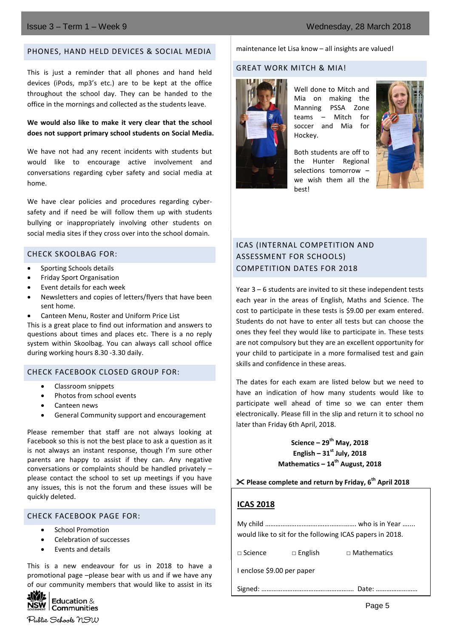## PHONES, HAND HELD DEVICES & SOCIAL MEDIA

This is just a reminder that all phones and hand held devices (iPods, mp3's etc.) are to be kept at the office throughout the school day. They can be handed to the office in the mornings and collected as the students leave.

## **We would also like to make it very clear that the school does not support primary school students on Social Media.**

We have not had any recent incidents with students but would like to encourage active involvement and conversations regarding cyber safety and social media at home.

We have clear policies and procedures regarding cybersafety and if need be will follow them up with students bullying or inappropriately involving other students on social media sites if they cross over into the school domain.

## CHECK SKOOLBAG FOR:

- Sporting Schools details
- Friday Sport Organisation
- Event details for each week
- Newsletters and copies of letters/flyers that have been sent home.
- Canteen Menu, Roster and Uniform Price List

This is a great place to find out information and answers to questions about times and places etc. There is a no reply system within Skoolbag. You can always call school office during working hours 8.30 -3.30 daily.

## CHECK FACEBOOK CLOSED GROUP FOR:

- Classroom snippets
- Photos from school events
- Canteen news
- General Community support and encouragement

Please remember that staff are not always looking at Facebook so this is not the best place to ask a question as it is not always an instant response, though I'm sure other parents are happy to assist if they can. Any negative conversations or complaints should be handled privately – please contact the school to set up meetings if you have any issues, this is not the forum and these issues will be quickly deleted.

## CHECK FACEBOOK PAGE FOR:

- School Promotion
- Celebration of successes
- Events and details

This is a new endeavour for us in 2018 to have a promotional page –please bear with us and if we have any of our community members that would like to assist in its



Public Schools NSW

#### maintenance let Lisa know – all insights are valued!

## GREAT WORK MITCH & MIA!



Well done to Mitch and Mia on making the Manning PSSA Zone teams – Mitch for soccer and Mia for Hockey.

Both students are off to the Hunter Regional selections tomorrow – we wish them all the best!



# ICAS (INTERNAL COMPETITION AND ASSESSMENT FOR SCHOOLS) COMPETITION DATES FOR 2018

Year 3 – 6 students are invited to sit these independent tests each year in the areas of English, Maths and Science. The cost to participate in these tests is \$9.00 per exam entered. Students do not have to enter all tests but can choose the ones they feel they would like to participate in. These tests are not compulsory but they are an excellent opportunity for your child to participate in a more formalised test and gain skills and confidence in these areas.

The dates for each exam are listed below but we need to have an indication of how many students would like to participate well ahead of time so we can enter them electronically. Please fill in the slip and return it to school no later than Friday 6th April, 2018.

> **Science – 29th May, 2018 English – 31st July, 2018 Mathematics – 14th August, 2018**

## **Please complete and return by Friday, 6th April 2018**

## **ICAS 2018**

My child …………………………….………..……. who is in Year ….... would like to sit for the following ICAS papers in 2018.

□ Science □ English □ Mathematics

I enclose \$9.00 per paper

Signed: ……………………………….……………. Date: ……………………

Page 5